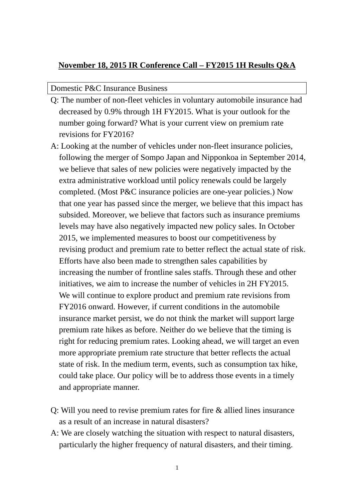## **November 18, 2015 IR Conference Call – FY2015 1H Results Q&A**

## Domestic P&C Insurance Business

- Q: The number of non-fleet vehicles in voluntary automobile insurance had decreased by 0.9% through 1H FY2015. What is your outlook for the number going forward? What is your current view on premium rate revisions for FY2016?
- A: Looking at the number of vehicles under non-fleet insurance policies, following the merger of Sompo Japan and Nipponkoa in September 2014, we believe that sales of new policies were negatively impacted by the extra administrative workload until policy renewals could be largely completed. (Most P&C insurance policies are one-year policies.) Now that one year has passed since the merger, we believe that this impact has subsided. Moreover, we believe that factors such as insurance premiums levels may have also negatively impacted new policy sales. In October 2015, we implemented measures to boost our competitiveness by revising product and premium rate to better reflect the actual state of risk. Efforts have also been made to strengthen sales capabilities by increasing the number of frontline sales staffs. Through these and other initiatives, we aim to increase the number of vehicles in 2H FY2015. We will continue to explore product and premium rate revisions from FY2016 onward. However, if current conditions in the automobile insurance market persist, we do not think the market will support large premium rate hikes as before. Neither do we believe that the timing is right for reducing premium rates. Looking ahead, we will target an even more appropriate premium rate structure that better reflects the actual state of risk. In the medium term, events, such as consumption tax hike, could take place. Our policy will be to address those events in a timely and appropriate manner.
- Q: Will you need to revise premium rates for fire & allied lines insurance as a result of an increase in natural disasters?
- A: We are closely watching the situation with respect to natural disasters, particularly the higher frequency of natural disasters, and their timing.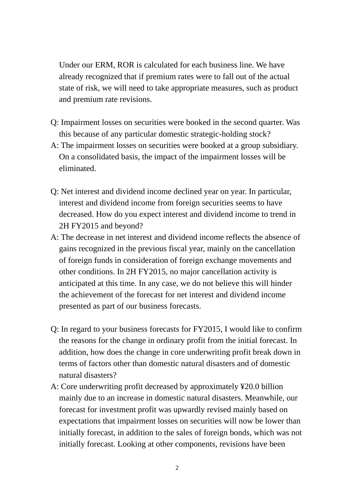Under our ERM, ROR is calculated for each business line. We have already recognized that if premium rates were to fall out of the actual state of risk, we will need to take appropriate measures, such as product and premium rate revisions.

- Q: Impairment losses on securities were booked in the second quarter. Was this because of any particular domestic strategic-holding stock?
- A: The impairment losses on securities were booked at a group subsidiary. On a consolidated basis, the impact of the impairment losses will be eliminated.
- Q: Net interest and dividend income declined year on year. In particular, interest and dividend income from foreign securities seems to have decreased. How do you expect interest and dividend income to trend in 2H FY2015 and beyond?
- A: The decrease in net interest and dividend income reflects the absence of gains recognized in the previous fiscal year, mainly on the cancellation of foreign funds in consideration of foreign exchange movements and other conditions. In 2H FY2015, no major cancellation activity is anticipated at this time. In any case, we do not believe this will hinder the achievement of the forecast for net interest and dividend income presented as part of our business forecasts.
- Q: In regard to your business forecasts for FY2015, I would like to confirm the reasons for the change in ordinary profit from the initial forecast. In addition, how does the change in core underwriting profit break down in terms of factors other than domestic natural disasters and of domestic natural disasters?
- A: Core underwriting profit decreased by approximately ¥20.0 billion mainly due to an increase in domestic natural disasters. Meanwhile, our forecast for investment profit was upwardly revised mainly based on expectations that impairment losses on securities will now be lower than initially forecast, in addition to the sales of foreign bonds, which was not initially forecast. Looking at other components, revisions have been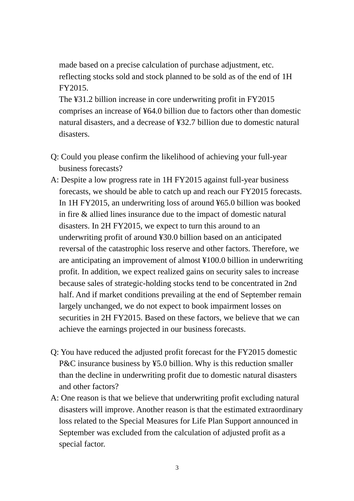made based on a precise calculation of purchase adjustment, etc. reflecting stocks sold and stock planned to be sold as of the end of 1H FY2015.

The ¥31.2 billion increase in core underwriting profit in FY2015 comprises an increase of ¥64.0 billion due to factors other than domestic natural disasters, and a decrease of ¥32.7 billion due to domestic natural disasters.

- Q: Could you please confirm the likelihood of achieving your full-year business forecasts?
- A: Despite a low progress rate in 1H FY2015 against full-year business forecasts, we should be able to catch up and reach our FY2015 forecasts. In 1H FY2015, an underwriting loss of around ¥65.0 billion was booked in fire & allied lines insurance due to the impact of domestic natural disasters. In 2H FY2015, we expect to turn this around to an underwriting profit of around ¥30.0 billion based on an anticipated reversal of the catastrophic loss reserve and other factors. Therefore, we are anticipating an improvement of almost ¥100.0 billion in underwriting profit. In addition, we expect realized gains on security sales to increase because sales of strategic-holding stocks tend to be concentrated in 2nd half. And if market conditions prevailing at the end of September remain largely unchanged, we do not expect to book impairment losses on securities in 2H FY2015. Based on these factors, we believe that we can achieve the earnings projected in our business forecasts.
- Q: You have reduced the adjusted profit forecast for the FY2015 domestic P&C insurance business by ¥5.0 billion. Why is this reduction smaller than the decline in underwriting profit due to domestic natural disasters and other factors?
- A: One reason is that we believe that underwriting profit excluding natural disasters will improve. Another reason is that the estimated extraordinary loss related to the Special Measures for Life Plan Support announced in September was excluded from the calculation of adjusted profit as a special factor.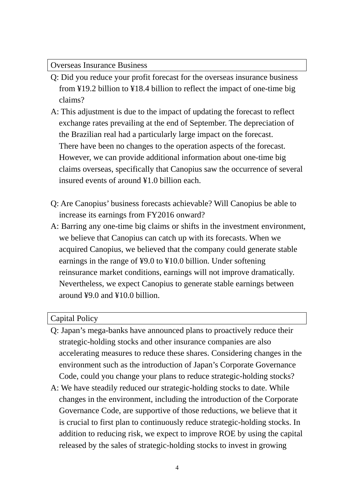Overseas Insurance Business

- Q: Did you reduce your profit forecast for the overseas insurance business from ¥19.2 billion to ¥18.4 billion to reflect the impact of one-time big claims?
- A: This adjustment is due to the impact of updating the forecast to reflect exchange rates prevailing at the end of September. The depreciation of the Brazilian real had a particularly large impact on the forecast. There have been no changes to the operation aspects of the forecast. However, we can provide additional information about one-time big claims overseas, specifically that Canopius saw the occurrence of several insured events of around ¥1.0 billion each.
- Q: Are Canopius' business forecasts achievable? Will Canopius be able to increase its earnings from FY2016 onward?
- A: Barring any one-time big claims or shifts in the investment environment, we believe that Canopius can catch up with its forecasts. When we acquired Canopius, we believed that the company could generate stable earnings in the range of ¥9.0 to ¥10.0 billion. Under softening reinsurance market conditions, earnings will not improve dramatically. Nevertheless, we expect Canopius to generate stable earnings between around ¥9.0 and ¥10.0 billion.

## Capital Policy

- Q: Japan's mega-banks have announced plans to proactively reduce their strategic-holding stocks and other insurance companies are also accelerating measures to reduce these shares. Considering changes in the environment such as the introduction of Japan's Corporate Governance Code, could you change your plans to reduce strategic-holding stocks?
- A: We have steadily reduced our strategic-holding stocks to date. While changes in the environment, including the introduction of the Corporate Governance Code, are supportive of those reductions, we believe that it is crucial to first plan to continuously reduce strategic-holding stocks. In addition to reducing risk, we expect to improve ROE by using the capital released by the sales of strategic-holding stocks to invest in growing